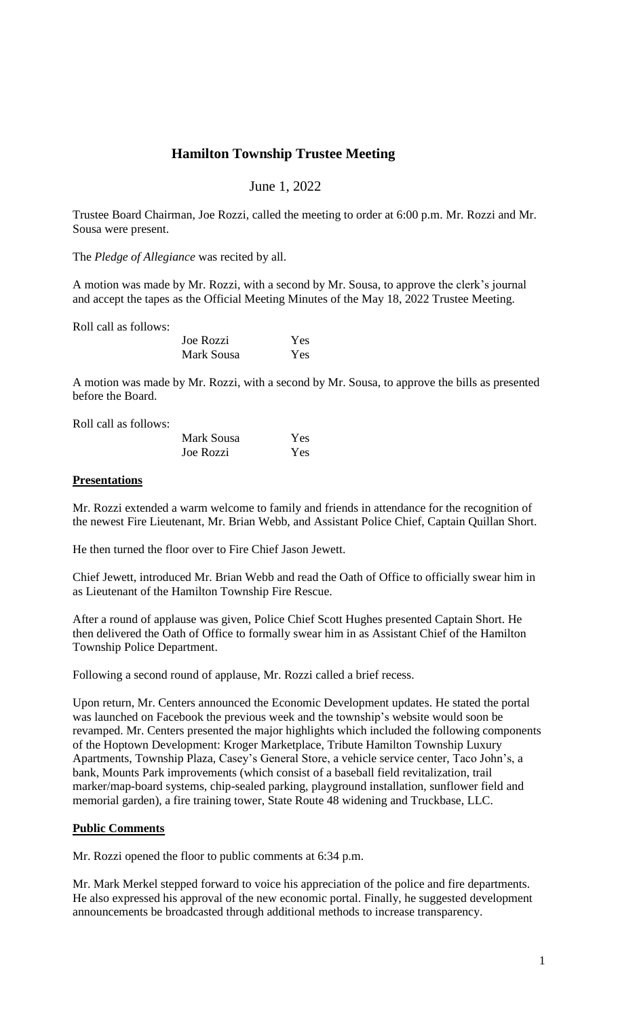# **Hamilton Township Trustee Meeting**

# June 1, 2022

Trustee Board Chairman, Joe Rozzi, called the meeting to order at 6:00 p.m. Mr. Rozzi and Mr. Sousa were present.

The *Pledge of Allegiance* was recited by all.

A motion was made by Mr. Rozzi, with a second by Mr. Sousa, to approve the clerk's journal and accept the tapes as the Official Meeting Minutes of the May 18, 2022 Trustee Meeting.

Roll call as follows:

| Joe Rozzi  | Yes |
|------------|-----|
| Mark Sousa | Yes |

A motion was made by Mr. Rozzi, with a second by Mr. Sousa, to approve the bills as presented before the Board.

Roll call as follows:

| Mark Sousa | Yes |
|------------|-----|
| Joe Rozzi  | Yes |

#### **Presentations**

Mr. Rozzi extended a warm welcome to family and friends in attendance for the recognition of the newest Fire Lieutenant, Mr. Brian Webb, and Assistant Police Chief, Captain Quillan Short.

He then turned the floor over to Fire Chief Jason Jewett.

Chief Jewett, introduced Mr. Brian Webb and read the Oath of Office to officially swear him in as Lieutenant of the Hamilton Township Fire Rescue.

After a round of applause was given, Police Chief Scott Hughes presented Captain Short. He then delivered the Oath of Office to formally swear him in as Assistant Chief of the Hamilton Township Police Department.

Following a second round of applause, Mr. Rozzi called a brief recess.

Upon return, Mr. Centers announced the Economic Development updates. He stated the portal was launched on Facebook the previous week and the township's website would soon be revamped. Mr. Centers presented the major highlights which included the following components of the Hoptown Development: Kroger Marketplace, Tribute Hamilton Township Luxury Apartments, Township Plaza, Casey's General Store, a vehicle service center, Taco John's, a bank, Mounts Park improvements (which consist of a baseball field revitalization, trail marker/map-board systems, chip-sealed parking, playground installation, sunflower field and memorial garden), a fire training tower, State Route 48 widening and Truckbase, LLC.

## **Public Comments**

Mr. Rozzi opened the floor to public comments at 6:34 p.m.

Mr. Mark Merkel stepped forward to voice his appreciation of the police and fire departments. He also expressed his approval of the new economic portal. Finally, he suggested development announcements be broadcasted through additional methods to increase transparency.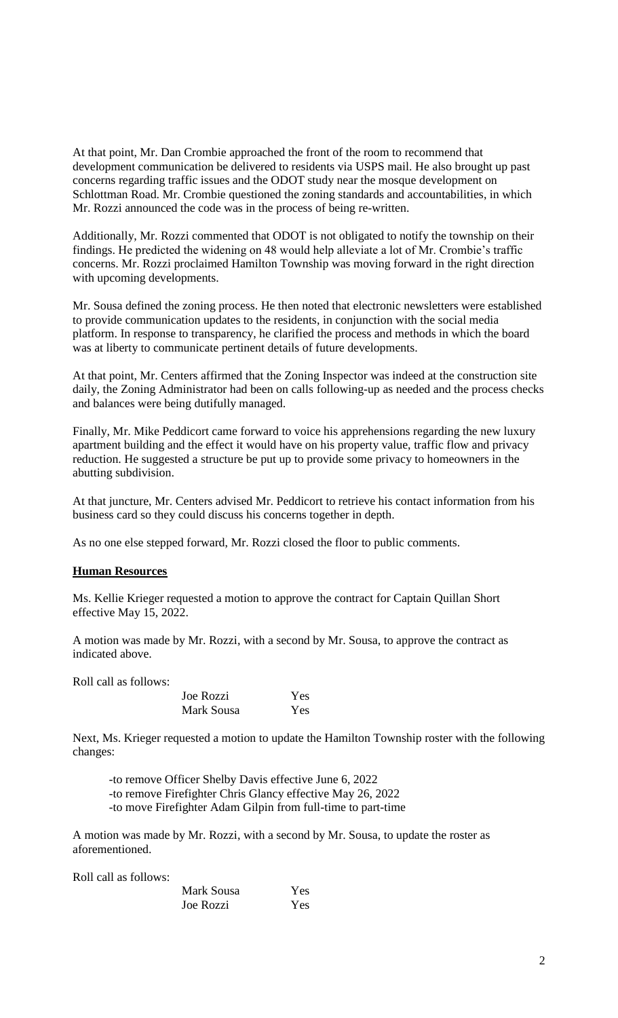At that point, Mr. Dan Crombie approached the front of the room to recommend that development communication be delivered to residents via USPS mail. He also brought up past concerns regarding traffic issues and the ODOT study near the mosque development on Schlottman Road. Mr. Crombie questioned the zoning standards and accountabilities, in which Mr. Rozzi announced the code was in the process of being re-written.

Additionally, Mr. Rozzi commented that ODOT is not obligated to notify the township on their findings. He predicted the widening on 48 would help alleviate a lot of Mr. Crombie's traffic concerns. Mr. Rozzi proclaimed Hamilton Township was moving forward in the right direction with upcoming developments.

Mr. Sousa defined the zoning process. He then noted that electronic newsletters were established to provide communication updates to the residents, in conjunction with the social media platform. In response to transparency, he clarified the process and methods in which the board was at liberty to communicate pertinent details of future developments.

At that point, Mr. Centers affirmed that the Zoning Inspector was indeed at the construction site daily, the Zoning Administrator had been on calls following-up as needed and the process checks and balances were being dutifully managed.

Finally, Mr. Mike Peddicort came forward to voice his apprehensions regarding the new luxury apartment building and the effect it would have on his property value, traffic flow and privacy reduction. He suggested a structure be put up to provide some privacy to homeowners in the abutting subdivision.

At that juncture, Mr. Centers advised Mr. Peddicort to retrieve his contact information from his business card so they could discuss his concerns together in depth.

As no one else stepped forward, Mr. Rozzi closed the floor to public comments.

## **Human Resources**

Ms. Kellie Krieger requested a motion to approve the contract for Captain Quillan Short effective May 15, 2022.

A motion was made by Mr. Rozzi, with a second by Mr. Sousa, to approve the contract as indicated above.

Roll call as follows:

| Joe Rozzi  | Yes |
|------------|-----|
| Mark Sousa | Yes |

Next, Ms. Krieger requested a motion to update the Hamilton Township roster with the following changes:

-to remove Officer Shelby Davis effective June 6, 2022 -to remove Firefighter Chris Glancy effective May 26, 2022 -to move Firefighter Adam Gilpin from full-time to part-time

A motion was made by Mr. Rozzi, with a second by Mr. Sousa, to update the roster as aforementioned.

Roll call as follows:

| Mark Sousa | Yes |
|------------|-----|
| Joe Rozzi  | Yes |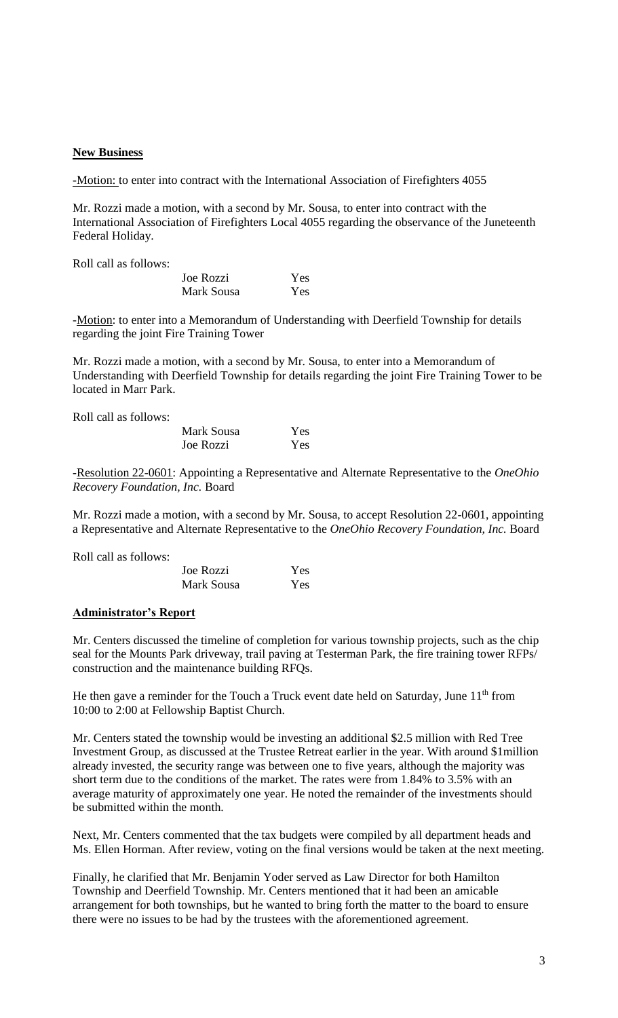#### **New Business**

-Motion: to enter into contract with the International Association of Firefighters 4055

Mr. Rozzi made a motion, with a second by Mr. Sousa, to enter into contract with the International Association of Firefighters Local 4055 regarding the observance of the Juneteenth Federal Holiday.

Roll call as follows:

| Joe Rozzi  | Yes |
|------------|-----|
| Mark Sousa | Yes |

-Motion: to enter into a Memorandum of Understanding with Deerfield Township for details regarding the joint Fire Training Tower

Mr. Rozzi made a motion, with a second by Mr. Sousa, to enter into a Memorandum of Understanding with Deerfield Township for details regarding the joint Fire Training Tower to be located in Marr Park.

Roll call as follows:

| Mark Sousa | Yes |
|------------|-----|
| Joe Rozzi  | Yes |

**-**Resolution 22-0601: Appointing a Representative and Alternate Representative to the *OneOhio Recovery Foundation, Inc.* Board

Mr. Rozzi made a motion, with a second by Mr. Sousa, to accept Resolution 22-0601, appointing a Representative and Alternate Representative to the *OneOhio Recovery Foundation, Inc.* Board

Roll call as follows:

| Joe Rozzi  | Yes |
|------------|-----|
| Mark Sousa | Yes |

#### **Administrator's Report**

Mr. Centers discussed the timeline of completion for various township projects, such as the chip seal for the Mounts Park driveway, trail paving at Testerman Park, the fire training tower RFPs/ construction and the maintenance building RFQs.

He then gave a reminder for the Touch a Truck event date held on Saturday, June  $11<sup>th</sup>$  from 10:00 to 2:00 at Fellowship Baptist Church.

Mr. Centers stated the township would be investing an additional \$2.5 million with Red Tree Investment Group, as discussed at the Trustee Retreat earlier in the year. With around \$1million already invested, the security range was between one to five years, although the majority was short term due to the conditions of the market. The rates were from 1.84% to 3.5% with an average maturity of approximately one year. He noted the remainder of the investments should be submitted within the month.

Next, Mr. Centers commented that the tax budgets were compiled by all department heads and Ms. Ellen Horman. After review, voting on the final versions would be taken at the next meeting.

Finally, he clarified that Mr. Benjamin Yoder served as Law Director for both Hamilton Township and Deerfield Township. Mr. Centers mentioned that it had been an amicable arrangement for both townships, but he wanted to bring forth the matter to the board to ensure there were no issues to be had by the trustees with the aforementioned agreement.